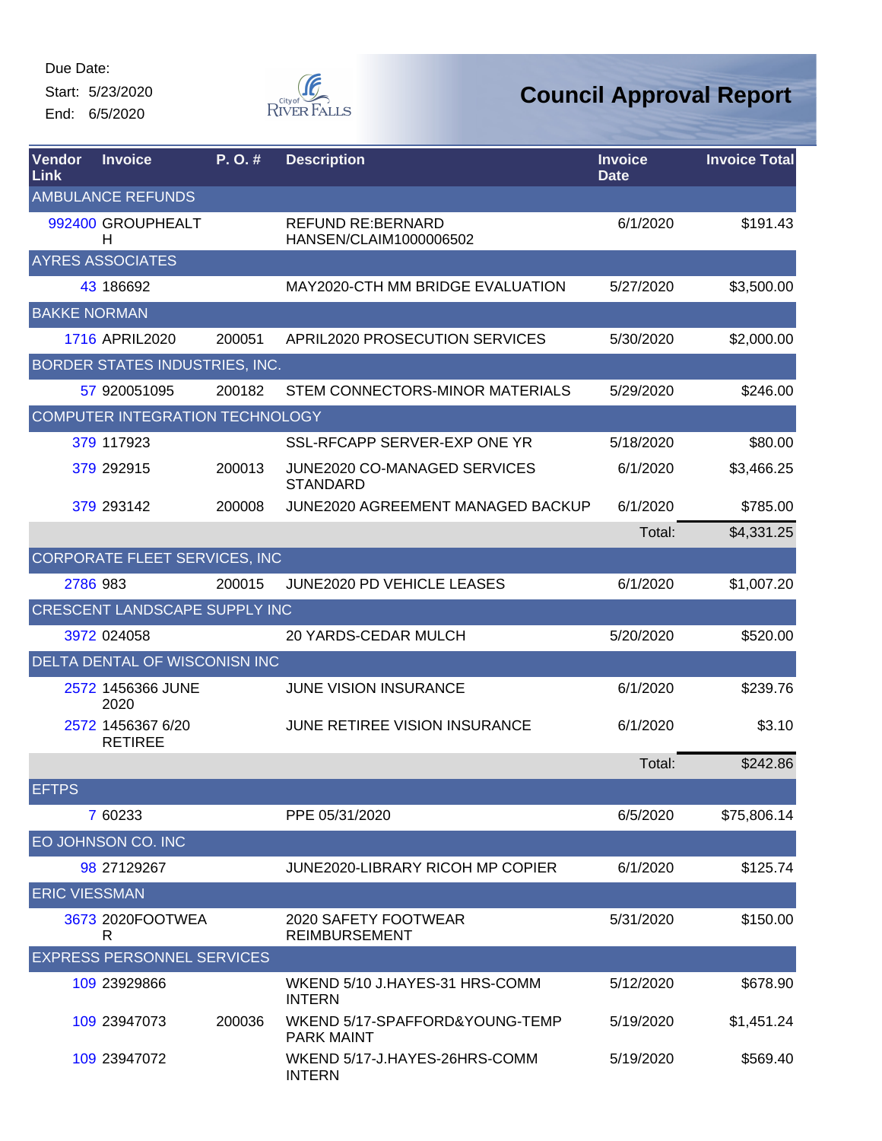Start: 5/23/2020

End: 6/5/2020



| Vendor<br>Link       | <b>Invoice</b>                       | P.O.#  | <b>Description</b>                                  | <b>Invoice</b><br><b>Date</b> | <b>Invoice Total</b> |
|----------------------|--------------------------------------|--------|-----------------------------------------------------|-------------------------------|----------------------|
|                      | <b>AMBULANCE REFUNDS</b>             |        |                                                     |                               |                      |
|                      | 992400 GROUPHEALT<br>н               |        | <b>REFUND RE: BERNARD</b><br>HANSEN/CLAIM1000006502 | 6/1/2020                      | \$191.43             |
|                      | <b>AYRES ASSOCIATES</b>              |        |                                                     |                               |                      |
|                      | 43 186692                            |        | MAY2020-CTH MM BRIDGE EVALUATION                    | 5/27/2020                     | \$3,500.00           |
| <b>BAKKE NORMAN</b>  |                                      |        |                                                     |                               |                      |
|                      | <b>1716 APRIL2020</b>                | 200051 | APRIL2020 PROSECUTION SERVICES                      | 5/30/2020                     | \$2,000.00           |
|                      | BORDER STATES INDUSTRIES, INC.       |        |                                                     |                               |                      |
|                      | 57 920051095                         | 200182 | STEM CONNECTORS-MINOR MATERIALS                     | 5/29/2020                     | \$246.00             |
|                      | COMPUTER INTEGRATION TECHNOLOGY      |        |                                                     |                               |                      |
|                      | 379 117923                           |        | SSL-RFCAPP SERVER-EXP ONE YR                        | 5/18/2020                     | \$80.00              |
|                      | 379 292915                           | 200013 | JUNE2020 CO-MANAGED SERVICES<br><b>STANDARD</b>     | 6/1/2020                      | \$3,466.25           |
|                      | 379 293142                           | 200008 | JUNE2020 AGREEMENT MANAGED BACKUP                   | 6/1/2020                      | \$785.00             |
|                      |                                      |        |                                                     | Total:                        | \$4,331.25           |
|                      | CORPORATE FLEET SERVICES, INC        |        |                                                     |                               |                      |
|                      | 2786 983                             | 200015 | JUNE2020 PD VEHICLE LEASES                          | 6/1/2020                      | \$1,007.20           |
|                      | <b>CRESCENT LANDSCAPE SUPPLY INC</b> |        |                                                     |                               |                      |
|                      | 3972 024058                          |        | 20 YARDS-CEDAR MULCH                                | 5/20/2020                     | \$520.00             |
|                      | DELTA DENTAL OF WISCONISN INC        |        |                                                     |                               |                      |
|                      | 2572 1456366 JUNE<br>2020            |        | <b>JUNE VISION INSURANCE</b>                        | 6/1/2020                      | \$239.76             |
|                      | 2572 1456367 6/20<br><b>RETIREE</b>  |        | <b>JUNE RETIREE VISION INSURANCE</b>                | 6/1/2020                      | \$3.10               |
|                      |                                      |        |                                                     | Total:                        | \$242.86             |
| <b>EFTPS</b>         |                                      |        |                                                     |                               |                      |
|                      | 7 60233                              |        | PPE 05/31/2020                                      | 6/5/2020                      | \$75,806.14          |
|                      | EO JOHNSON CO. INC                   |        |                                                     |                               |                      |
|                      | 98 27129267                          |        | <b>JUNE2020-LIBRARY RICOH MP COPIER</b>             | 6/1/2020                      | \$125.74             |
| <b>ERIC VIESSMAN</b> |                                      |        |                                                     |                               |                      |
|                      | 3673 2020FOOTWEA<br>R                |        | 2020 SAFETY FOOTWEAR<br><b>REIMBURSEMENT</b>        | 5/31/2020                     | \$150.00             |
|                      | <b>EXPRESS PERSONNEL SERVICES</b>    |        |                                                     |                               |                      |
|                      | 109 23929866                         |        | WKEND 5/10 J.HAYES-31 HRS-COMM<br><b>INTERN</b>     | 5/12/2020                     | \$678.90             |
|                      | 109 23947073                         | 200036 | WKEND 5/17-SPAFFORD&YOUNG-TEMP<br><b>PARK MAINT</b> | 5/19/2020                     | \$1,451.24           |
|                      | 109 23947072                         |        | WKEND 5/17-J.HAYES-26HRS-COMM<br><b>INTERN</b>      | 5/19/2020                     | \$569.40             |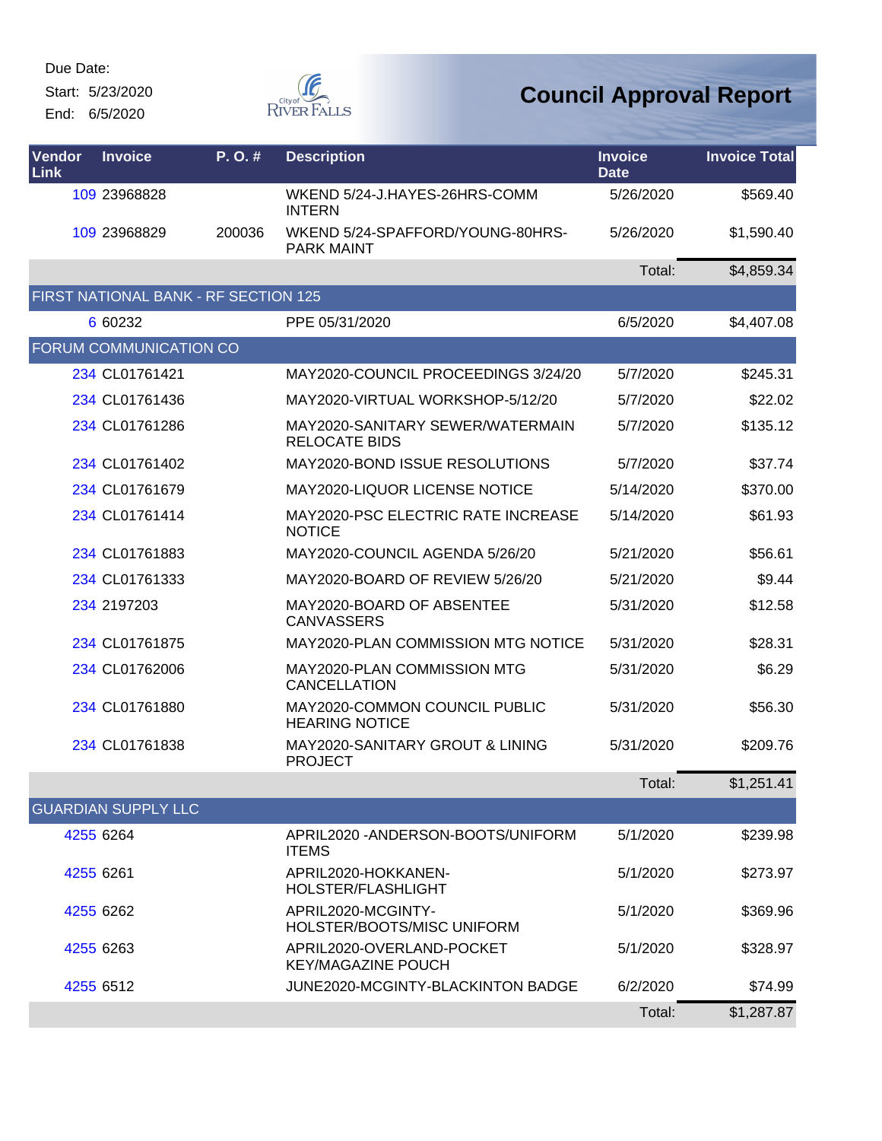Start: 5/23/2020 End: 6/5/2020



| Vendor<br>Link | <b>Invoice</b>                       | P.O.#  | <b>Description</b>                                       | <b>Invoice</b><br><b>Date</b> | <b>Invoice Total</b> |
|----------------|--------------------------------------|--------|----------------------------------------------------------|-------------------------------|----------------------|
|                | 109 23968828                         |        | WKEND 5/24-J.HAYES-26HRS-COMM<br><b>INTERN</b>           | 5/26/2020                     | \$569.40             |
|                | 109 23968829                         | 200036 | WKEND 5/24-SPAFFORD/YOUNG-80HRS-<br><b>PARK MAINT</b>    | 5/26/2020                     | \$1,590.40           |
|                |                                      |        |                                                          | Total:                        | \$4,859.34           |
|                | FIRST NATIONAL BANK - RF SECTION 125 |        |                                                          |                               |                      |
|                | 6 60232                              |        | PPE 05/31/2020                                           | 6/5/2020                      | \$4,407.08           |
|                | <b>FORUM COMMUNICATION CO</b>        |        |                                                          |                               |                      |
|                | 234 CL01761421                       |        | MAY2020-COUNCIL PROCEEDINGS 3/24/20                      | 5/7/2020                      | \$245.31             |
|                | 234 CL01761436                       |        | MAY2020-VIRTUAL WORKSHOP-5/12/20                         | 5/7/2020                      | \$22.02              |
|                | 234 CL01761286                       |        | MAY2020-SANITARY SEWER/WATERMAIN<br><b>RELOCATE BIDS</b> | 5/7/2020                      | \$135.12             |
|                | 234 CL01761402                       |        | MAY2020-BOND ISSUE RESOLUTIONS                           | 5/7/2020                      | \$37.74              |
|                | 234 CL01761679                       |        | MAY2020-LIQUOR LICENSE NOTICE                            | 5/14/2020                     | \$370.00             |
|                | 234 CL01761414                       |        | MAY2020-PSC ELECTRIC RATE INCREASE<br><b>NOTICE</b>      | 5/14/2020                     | \$61.93              |
|                | 234 CL01761883                       |        | MAY2020-COUNCIL AGENDA 5/26/20                           | 5/21/2020                     | \$56.61              |
|                | 234 CL01761333                       |        | MAY2020-BOARD OF REVIEW 5/26/20                          | 5/21/2020                     | \$9.44               |
|                | 234 2197203                          |        | MAY2020-BOARD OF ABSENTEE<br><b>CANVASSERS</b>           | 5/31/2020                     | \$12.58              |
|                | 234 CL01761875                       |        | MAY2020-PLAN COMMISSION MTG NOTICE                       | 5/31/2020                     | \$28.31              |
|                | 234 CL01762006                       |        | MAY2020-PLAN COMMISSION MTG<br>CANCELLATION              | 5/31/2020                     | \$6.29               |
|                | 234 CL01761880                       |        | MAY2020-COMMON COUNCIL PUBLIC<br><b>HEARING NOTICE</b>   | 5/31/2020                     | \$56.30              |
|                | 234 CL01761838                       |        | MAY2020-SANITARY GROUT & LINING<br><b>PROJECT</b>        | 5/31/2020                     | \$209.76             |
|                |                                      |        |                                                          | Total:                        | \$1,251.41           |
|                | <b>GUARDIAN SUPPLY LLC</b>           |        |                                                          |                               |                      |
|                | 4255 6264                            |        | APRIL2020 - ANDERSON-BOOTS/UNIFORM<br><b>ITEMS</b>       | 5/1/2020                      | \$239.98             |
|                | 4255 6261                            |        | APRIL2020-HOKKANEN-<br>HOLSTER/FLASHLIGHT                | 5/1/2020                      | \$273.97             |
|                | 4255 6262                            |        | APRIL2020-MCGINTY-<br>HOLSTER/BOOTS/MISC UNIFORM         | 5/1/2020                      | \$369.96             |
|                | 4255 6263                            |        | APRIL2020-OVERLAND-POCKET<br><b>KEY/MAGAZINE POUCH</b>   | 5/1/2020                      | \$328.97             |
|                | 4255 6512                            |        | JUNE2020-MCGINTY-BLACKINTON BADGE                        | 6/2/2020                      | \$74.99              |
|                |                                      |        |                                                          | Total:                        | \$1,287.87           |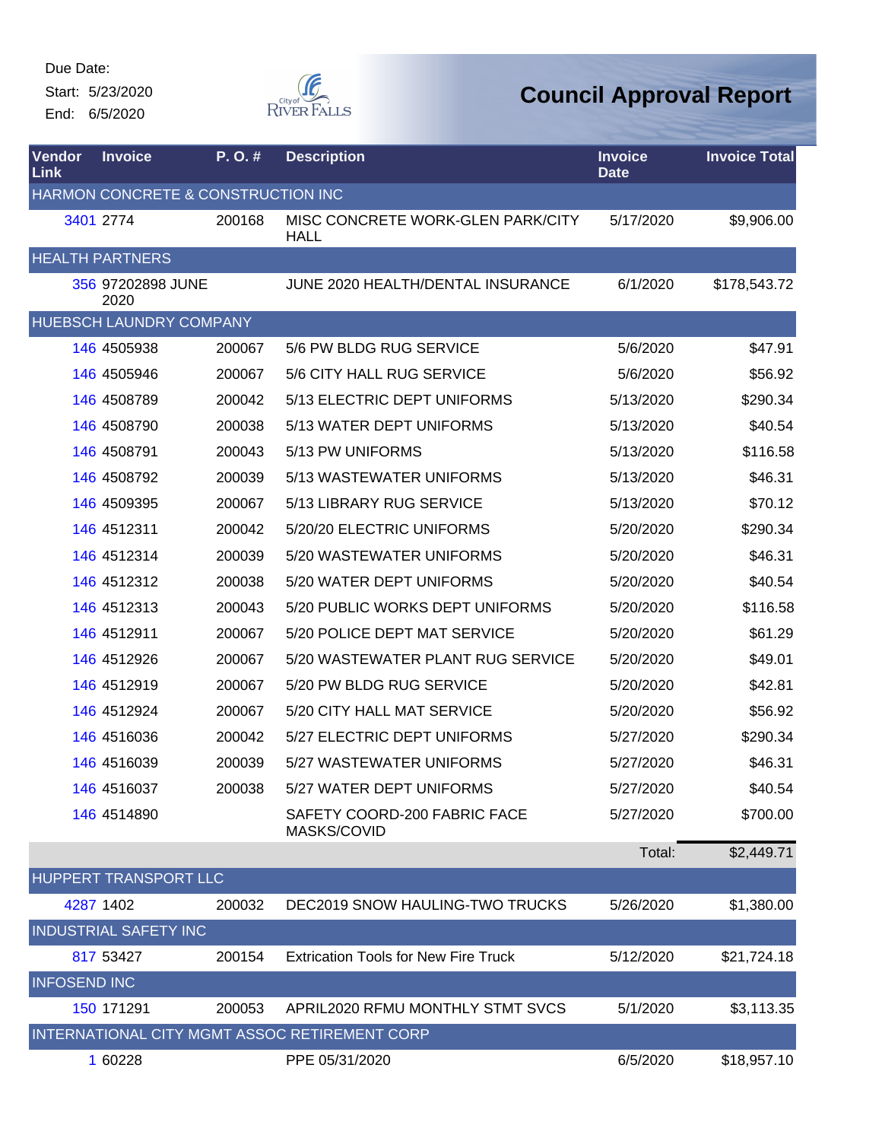Start: 5/23/2020 End: 6/5/2020



| Vendor<br>Link      | <b>Invoice</b>                     | P.O.#  | <b>Description</b>                               | <b>Invoice</b><br><b>Date</b> | <b>Invoice Total</b> |
|---------------------|------------------------------------|--------|--------------------------------------------------|-------------------------------|----------------------|
|                     | HARMON CONCRETE & CONSTRUCTION INC |        |                                                  |                               |                      |
|                     | 3401 2774                          | 200168 | MISC CONCRETE WORK-GLEN PARK/CITY<br><b>HALL</b> | 5/17/2020                     | \$9,906.00           |
|                     | <b>HEALTH PARTNERS</b>             |        |                                                  |                               |                      |
|                     | 356 97202898 JUNE<br>2020          |        | JUNE 2020 HEALTH/DENTAL INSURANCE                | 6/1/2020                      | \$178,543.72         |
|                     | <b>HUEBSCH LAUNDRY COMPANY</b>     |        |                                                  |                               |                      |
|                     | 146 4505938                        | 200067 | 5/6 PW BLDG RUG SERVICE                          | 5/6/2020                      | \$47.91              |
|                     | 146 4505946                        | 200067 | 5/6 CITY HALL RUG SERVICE                        | 5/6/2020                      | \$56.92              |
|                     | 146 4508789                        | 200042 | 5/13 ELECTRIC DEPT UNIFORMS                      | 5/13/2020                     | \$290.34             |
|                     | 146 4508790                        | 200038 | 5/13 WATER DEPT UNIFORMS                         | 5/13/2020                     | \$40.54              |
|                     | 146 4508791                        | 200043 | 5/13 PW UNIFORMS                                 | 5/13/2020                     | \$116.58             |
|                     | 146 4508792                        | 200039 | 5/13 WASTEWATER UNIFORMS                         | 5/13/2020                     | \$46.31              |
|                     | 146 4509395                        | 200067 | 5/13 LIBRARY RUG SERVICE                         | 5/13/2020                     | \$70.12              |
|                     | 146 4512311                        | 200042 | 5/20/20 ELECTRIC UNIFORMS                        | 5/20/2020                     | \$290.34             |
|                     | 146 4512314                        | 200039 | 5/20 WASTEWATER UNIFORMS                         | 5/20/2020                     | \$46.31              |
|                     | 146 4512312                        | 200038 | 5/20 WATER DEPT UNIFORMS                         | 5/20/2020                     | \$40.54              |
|                     | 146 4512313                        | 200043 | 5/20 PUBLIC WORKS DEPT UNIFORMS                  | 5/20/2020                     | \$116.58             |
|                     | 146 4512911                        | 200067 | 5/20 POLICE DEPT MAT SERVICE                     | 5/20/2020                     | \$61.29              |
|                     | 146 4512926                        | 200067 | 5/20 WASTEWATER PLANT RUG SERVICE                | 5/20/2020                     | \$49.01              |
|                     | 146 4512919                        | 200067 | 5/20 PW BLDG RUG SERVICE                         | 5/20/2020                     | \$42.81              |
|                     | 146 4512924                        | 200067 | 5/20 CITY HALL MAT SERVICE                       | 5/20/2020                     | \$56.92              |
|                     | 146 4516036                        | 200042 | 5/27 ELECTRIC DEPT UNIFORMS                      | 5/27/2020                     | \$290.34             |
|                     | 146 4516039                        | 200039 | 5/27 WASTEWATER UNIFORMS                         | 5/27/2020                     | \$46.31              |
|                     | 146 4516037                        | 200038 | 5/27 WATER DEPT UNIFORMS                         | 5/27/2020                     | \$40.54              |
|                     | 146 4514890                        |        | SAFETY COORD-200 FABRIC FACE<br>MASKS/COVID      | 5/27/2020                     | \$700.00             |
|                     |                                    |        |                                                  | Total:                        | \$2,449.71           |
|                     | <b>HUPPERT TRANSPORT LLC</b>       |        |                                                  |                               |                      |
|                     | 4287 1402                          | 200032 | DEC2019 SNOW HAULING-TWO TRUCKS                  | 5/26/2020                     | \$1,380.00           |
|                     | <b>INDUSTRIAL SAFETY INC</b>       |        |                                                  |                               |                      |
|                     | 817 53427                          | 200154 | <b>Extrication Tools for New Fire Truck</b>      | 5/12/2020                     | \$21,724.18          |
| <b>INFOSEND INC</b> |                                    |        |                                                  |                               |                      |
|                     | 150 171291                         | 200053 | APRIL2020 RFMU MONTHLY STMT SVCS                 | 5/1/2020                      | \$3,113.35           |
|                     |                                    |        | INTERNATIONAL CITY MGMT ASSOC RETIREMENT CORP    |                               |                      |
|                     | 1 60228                            |        | PPE 05/31/2020                                   | 6/5/2020                      | \$18,957.10          |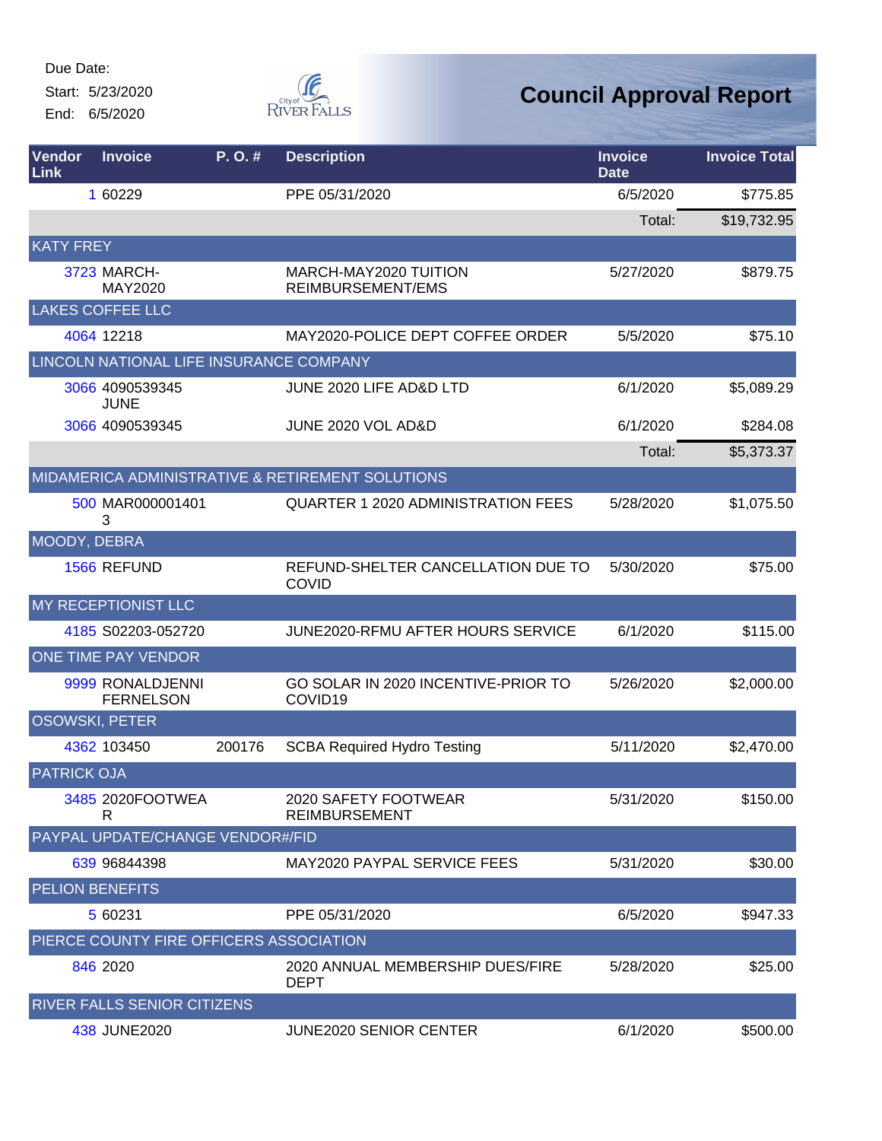Start: 5/23/2020 End: 6/5/2020



| Vendor<br>Link     | <b>Invoice</b>                          | P. O. # | <b>Description</b>                                 | <b>Invoice</b><br><b>Date</b> | <b>Invoice Total</b> |
|--------------------|-----------------------------------------|---------|----------------------------------------------------|-------------------------------|----------------------|
|                    | 1 60229                                 |         | PPE 05/31/2020                                     | 6/5/2020                      | \$775.85             |
|                    |                                         |         |                                                    | Total:                        | \$19,732.95          |
| <b>KATY FREY</b>   |                                         |         |                                                    |                               |                      |
|                    | <b>3723 MARCH-</b><br>MAY2020           |         | MARCH-MAY2020 TUITION<br>REIMBURSEMENT/EMS         | 5/27/2020                     | \$879.75             |
|                    | <b>LAKES COFFEE LLC</b>                 |         |                                                    |                               |                      |
|                    | 4064 12218                              |         | MAY2020-POLICE DEPT COFFEE ORDER                   | 5/5/2020                      | \$75.10              |
|                    | LINCOLN NATIONAL LIFE INSURANCE COMPANY |         |                                                    |                               |                      |
|                    | 3066 4090539345<br><b>JUNE</b>          |         | JUNE 2020 LIFE AD&D LTD                            | 6/1/2020                      | \$5,089.29           |
|                    | 3066 4090539345                         |         | JUNE 2020 VOL AD&D                                 | 6/1/2020                      | \$284.08             |
|                    |                                         |         |                                                    | Total:                        | \$5,373.37           |
|                    |                                         |         | MIDAMERICA ADMINISTRATIVE & RETIREMENT SOLUTIONS   |                               |                      |
|                    | 500 MAR000001401<br>3                   |         | <b>QUARTER 1 2020 ADMINISTRATION FEES</b>          | 5/28/2020                     | \$1,075.50           |
| MOODY, DEBRA       |                                         |         |                                                    |                               |                      |
|                    | 1566 REFUND                             |         | REFUND-SHELTER CANCELLATION DUE TO<br><b>COVID</b> | 5/30/2020                     | \$75.00              |
|                    | MY RECEPTIONIST LLC                     |         |                                                    |                               |                      |
|                    | 4185 S02203-052720                      |         | JUNE2020-RFMU AFTER HOURS SERVICE                  | 6/1/2020                      | \$115.00             |
|                    | ONE TIME PAY VENDOR                     |         |                                                    |                               |                      |
|                    | 9999 RONALDJENNI<br><b>FERNELSON</b>    |         | GO SOLAR IN 2020 INCENTIVE-PRIOR TO<br>COVID19     | 5/26/2020                     | \$2,000.00           |
|                    | <b>OSOWSKI, PETER</b>                   |         |                                                    |                               |                      |
|                    | 4362 103450                             | 200176  | <b>SCBA Required Hydro Testing</b>                 | 5/11/2020                     | \$2,470.00           |
| <b>PATRICK OJA</b> |                                         |         |                                                    |                               |                      |
|                    | 3485 2020FOOTWEA<br>R                   |         | 2020 SAFETY FOOTWEAR<br><b>REIMBURSEMENT</b>       | 5/31/2020                     | \$150.00             |
|                    | PAYPAL UPDATE/CHANGE VENDOR#/FID        |         |                                                    |                               |                      |
|                    | 639 96844398                            |         | MAY2020 PAYPAL SERVICE FEES                        | 5/31/2020                     | \$30.00              |
|                    | PELION BENEFITS                         |         |                                                    |                               |                      |
|                    | 5 60231                                 |         | PPE 05/31/2020                                     | 6/5/2020                      | \$947.33             |
|                    | PIERCE COUNTY FIRE OFFICERS ASSOCIATION |         |                                                    |                               |                      |
|                    | 846 2020                                |         | 2020 ANNUAL MEMBERSHIP DUES/FIRE<br><b>DEPT</b>    | 5/28/2020                     | \$25.00              |
|                    | RIVER FALLS SENIOR CITIZENS             |         |                                                    |                               |                      |
|                    | 438 JUNE2020                            |         | JUNE2020 SENIOR CENTER                             | 6/1/2020                      | \$500.00             |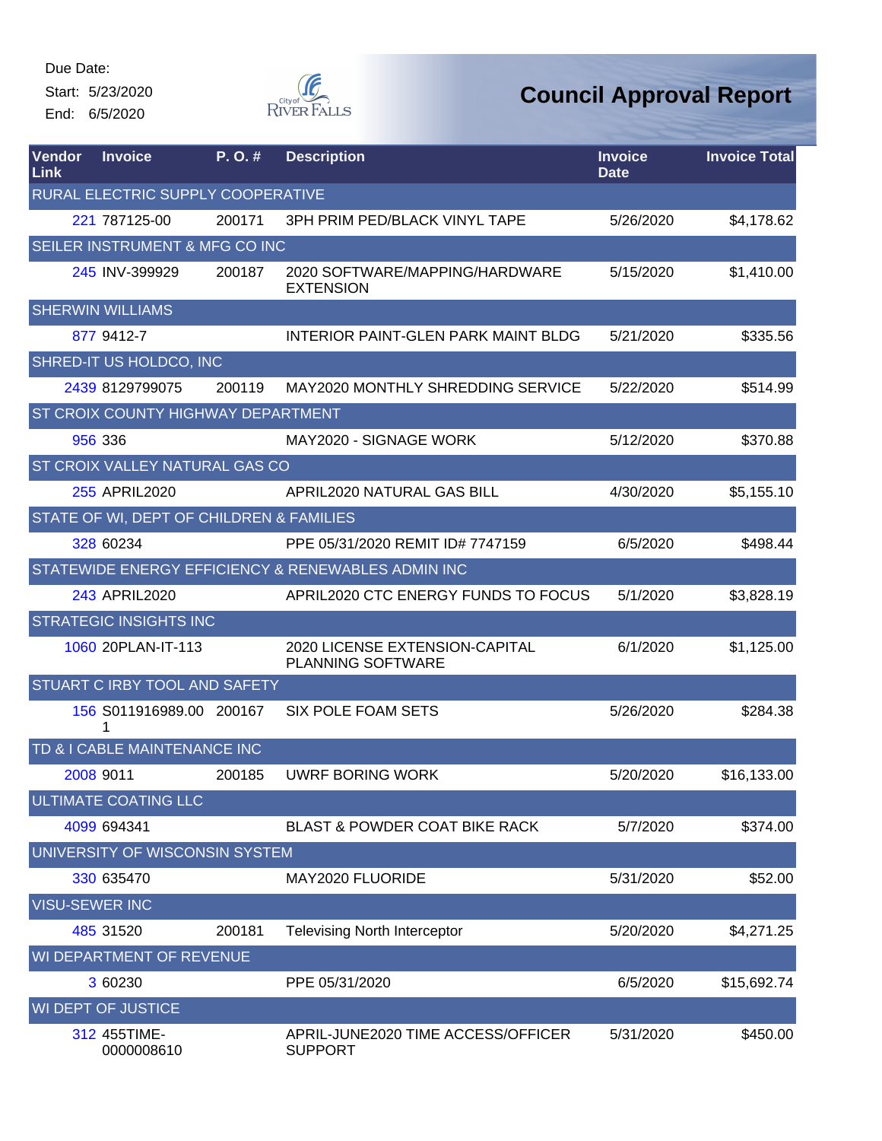Start: 5/23/2020 End: 6/5/2020



| Vendor<br>Link                 | <b>Invoice</b>                           | P.O.#  | <b>Description</b>                                         | <b>Invoice</b><br><b>Date</b> | <b>Invoice Total</b> |  |
|--------------------------------|------------------------------------------|--------|------------------------------------------------------------|-------------------------------|----------------------|--|
|                                | RURAL ELECTRIC SUPPLY COOPERATIVE        |        |                                                            |                               |                      |  |
|                                | 221 787125-00                            | 200171 | 3PH PRIM PED/BLACK VINYL TAPE                              | 5/26/2020                     | \$4,178.62           |  |
|                                | SEILER INSTRUMENT & MFG CO INC           |        |                                                            |                               |                      |  |
|                                | 245 INV-399929                           | 200187 | 2020 SOFTWARE/MAPPING/HARDWARE<br><b>EXTENSION</b>         | 5/15/2020                     | \$1,410.00           |  |
|                                | <b>SHERWIN WILLIAMS</b>                  |        |                                                            |                               |                      |  |
|                                | 877 9412-7                               |        | INTERIOR PAINT-GLEN PARK MAINT BLDG                        | 5/21/2020                     | \$335.56             |  |
|                                | SHRED-IT US HOLDCO, INC                  |        |                                                            |                               |                      |  |
|                                | 2439 8129799075                          | 200119 | MAY2020 MONTHLY SHREDDING SERVICE                          | 5/22/2020                     | \$514.99             |  |
|                                | ST CROIX COUNTY HIGHWAY DEPARTMENT       |        |                                                            |                               |                      |  |
|                                | 956 336                                  |        | MAY2020 - SIGNAGE WORK                                     | 5/12/2020                     | \$370.88             |  |
|                                | ST CROIX VALLEY NATURAL GAS CO           |        |                                                            |                               |                      |  |
|                                | 255 APRIL2020                            |        | APRIL2020 NATURAL GAS BILL                                 | 4/30/2020                     | \$5,155.10           |  |
|                                | STATE OF WI, DEPT OF CHILDREN & FAMILIES |        |                                                            |                               |                      |  |
|                                | 328 60234                                |        | PPE 05/31/2020 REMIT ID# 7747159                           | 6/5/2020                      | \$498.44             |  |
|                                |                                          |        | STATEWIDE ENERGY EFFICIENCY & RENEWABLES ADMIN INC         |                               |                      |  |
|                                | 243 APRIL2020                            |        | APRIL2020 CTC ENERGY FUNDS TO FOCUS                        | 5/1/2020                      | \$3,828.19           |  |
|                                | <b>STRATEGIC INSIGHTS INC</b>            |        |                                                            |                               |                      |  |
|                                | 1060 20PLAN-IT-113                       |        | 2020 LICENSE EXTENSION-CAPITAL<br><b>PLANNING SOFTWARE</b> | 6/1/2020                      | \$1,125.00           |  |
|                                | STUART C IRBY TOOL AND SAFETY            |        |                                                            |                               |                      |  |
|                                | 156 S011916989.00 200167<br>1            |        | SIX POLE FOAM SETS                                         | 5/26/2020                     | \$284.38             |  |
|                                | TD & I CABLE MAINTENANCE INC             |        |                                                            |                               |                      |  |
|                                | 2008 9011                                | 200185 | <b>UWRF BORING WORK</b>                                    | 5/20/2020                     | \$16,133.00          |  |
|                                | ULTIMATE COATING LLC                     |        |                                                            |                               |                      |  |
|                                | 4099 694341                              |        | <b>BLAST &amp; POWDER COAT BIKE RACK</b>                   | 5/7/2020                      | \$374.00             |  |
| UNIVERSITY OF WISCONSIN SYSTEM |                                          |        |                                                            |                               |                      |  |
|                                | 330 635470                               |        | MAY2020 FLUORIDE                                           | 5/31/2020                     | \$52.00              |  |
| <b>VISU-SEWER INC</b>          |                                          |        |                                                            |                               |                      |  |
|                                | 485 31520                                | 200181 | <b>Televising North Interceptor</b>                        | 5/20/2020                     | \$4,271.25           |  |
| WI DEPARTMENT OF REVENUE       |                                          |        |                                                            |                               |                      |  |
|                                | 3 60230                                  |        | PPE 05/31/2020                                             | 6/5/2020                      | \$15,692.74          |  |
|                                | <b>WI DEPT OF JUSTICE</b>                |        |                                                            |                               |                      |  |
|                                | 312 455TIME-<br>0000008610               |        | APRIL-JUNE2020 TIME ACCESS/OFFICER<br><b>SUPPORT</b>       | 5/31/2020                     | \$450.00             |  |